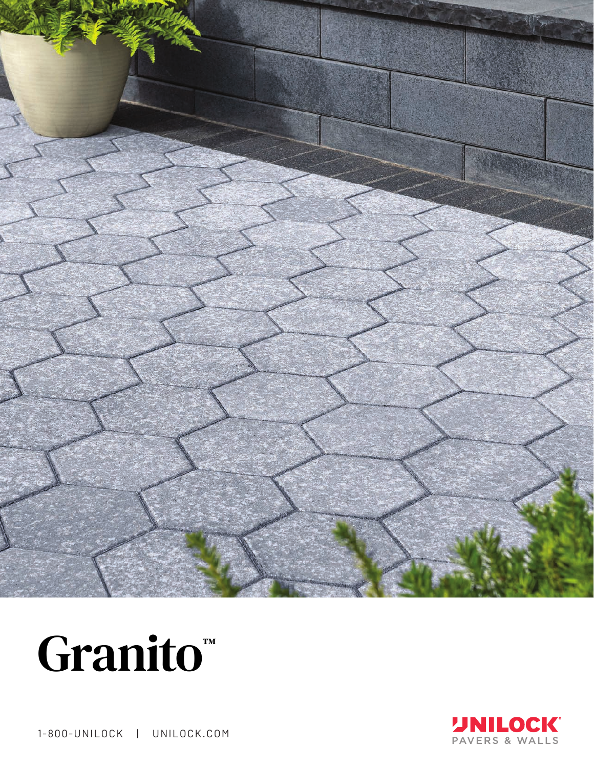





1-800-UNILOCK | UNILOCK.COM